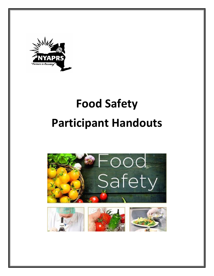

# **Food Safety Participant Handouts**

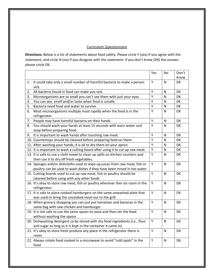## Curriculum Questionnaire

**Directions:** Below is a list of statements about food safety. Please circle Y (yes) if you agree with the statement, and circle N (no) if you disagree with the statement. If you don't know (DK) the answer, please circle DK.

|                                                                                                                                                          | Yes | <b>No</b> | Don't     |
|----------------------------------------------------------------------------------------------------------------------------------------------------------|-----|-----------|-----------|
|                                                                                                                                                          |     |           | Know      |
| It could take only a small number of harmful bacteria to make a person<br>1.<br>sick.                                                                    | Υ   | N         | DK        |
| All bacteria found in food can make you sick.<br>2.                                                                                                      | Y   | N         | <b>DK</b> |
| 3.<br>Microorganisms are so small you can't see them with just your eyes.                                                                                | Y   | N         | DK        |
| You can see, smell and/or taste when food is unsafe.<br>4.                                                                                               | Y   | N         | DK        |
| Bacteria need food and water to survive.<br>5.                                                                                                           | Υ   | N         | DK        |
| Most microorganisms multiply most rapidly when the food is in the<br>6.<br>refrigerator.                                                                 | Y   | N         | DK        |
| People may have harmful bacteria on their hands.<br>7.                                                                                                   | Υ   | N         | DK        |
| 8.<br>You should wash your hands at least 15 seconds with warn water and<br>soap before preparing food.                                                  | Υ   | N         | DK        |
| It is important to wash hands after touching raw meat.<br>9.                                                                                             | Υ   | N         | DK        |
| 10. Countertops should be cleaned before preparing food on them.                                                                                         | Y   | N         | DK        |
| 11. After washing your hands, it is ok to dry them on your apron.                                                                                        | Υ   | N         | DK        |
| 12. It is important to wash a cutting board after using it to cut up raw meat.                                                                           | Υ   | N         | DK        |
| 13. It is safe to use a cloth towel to clean up spills on kitchen counters and<br>then use it to dry off fresh vegetables.                               | Υ   | N         | DK        |
| 14. Sponges and/or dishcloths used to wipe up juices from raw meat, fish or<br>poultry can be used to wash dishes if they have been rinsed in hot water. | Y   | N         | DK        |
| 15. Cutting boards used to cut up raw meat, fish or poultry should be<br>cleaned before using with any other foods.                                      | Υ   | N         | DK        |
| 16. It's okay to store raw meat, fish or poultry wherever ther eis room in the<br>refrigerator.                                                          | Υ   | N         | DK        |
| 17. It is safe to place cooked hamburgers on the same unwashed plate that<br>was used to bring the uncooked meat out to the grill.                       | Y   | N         | DK        |
| 18. When grocery shopping you can just put tomatoes and bananas in the<br>same bag with raw chicken and hamburger.                                       | Y   | N         | DK        |
| 19. It is not safe to use the same spoon to taste and then stir the food<br>without washing the spoon.                                                   | Y   | N         | DK        |
| 20. Dishwashing detergent ca be stored with dry food ingredients (i.e., flour<br>and sugar as long as it is kept in the container it came in).           | Y   | N         | DK        |
| 21. It's okay to store fresh produce any place in the refrigerator there is<br>room.                                                                     | Υ   | N         | DK        |
| 22. Always rotate food cooked in a microwave to avoid "cold spots" in the<br>food.                                                                       | Υ   | N         | DK        |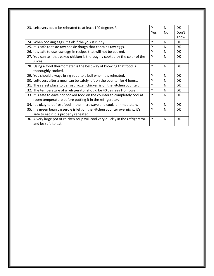| 23. Leftovers sould be reheated to at least 140 degrees F.                      | Υ   | N         | DK        |
|---------------------------------------------------------------------------------|-----|-----------|-----------|
|                                                                                 | Yes | <b>No</b> | Don't     |
|                                                                                 |     |           | Know      |
| 24. When cooking eggs, it's ok if the yolk is runny.                            | Υ   | N         | DK        |
| 25. It is safe to taste raw cookie dough that contains raw eggs.                | Y   | N         | DK        |
| 26. It is safe to use raw eggs in recipes that will not be cooked.              | Υ   | N         | <b>DK</b> |
| 27. You can tell that baked chicken is thoroughly cooked by the color of the    | Y   | N         | DK        |
| juices.                                                                         |     |           |           |
| 28. Using a food thermometer is the best way of knowing that food is            | Y   | N         | DK        |
| thoroughly cooked.                                                              |     |           |           |
| 29. You should always bring soup to a boil when it is reheated.                 | Y   | N         | DK        |
| 30. Leftovers after a meal can be safely left on the counter for 4 hours.       | Υ   | N         | DK        |
| 31. The safest place to defrost frozen chicken is on the kitchen counter.       | Υ   | N         | DК        |
| 32. The temperature of a refrigerator should be 40 degrees F or lower.          | Υ   | N         | DK        |
| 33. It is safe to eave hot cooked food on the counter to completely cool at     | Y   | N         | <b>DK</b> |
| room temperature before putting it in the refrigerator.                         |     |           |           |
| 34. It's okay to defrost food in the microwave and cook it immediately.         | Υ   | N         | DK        |
| 35. If a green bean casserole is left on the kitchen counter overnight, it's    | Y   | N         | DK        |
| safe to eat if it is properly reheated.                                         |     |           |           |
| 36. A very large pot of chicken soup will cool very quickly in the refrigerator | Y   | N         | DK        |
| and be safe to eat.                                                             |     |           |           |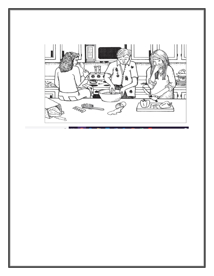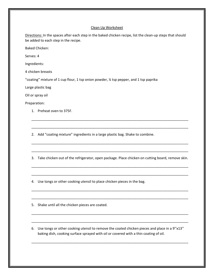#### Clean Up Worksheet

Directions: In the spaces after each step in the baked chicken recipe, list the clean-up steps that should be added to each step in the recipe.

Baked Chicken:

Serves: 4

Ingredients:

4 chicken breasts

"coating" mixture of 1 cup flour, 1 tsp onion powder, ¼ tsp pepper, and 1 tsp paprika

Large plastic bag

Oil or spray oil

Preparation:

1. Preheat oven to 375F.

2. Add "coating mixture" ingredients in a large plastic bag. Shake to combine.

3. Take chicken out of the refrigerator, open package. Place chicken on cutting board, remove skin.

\_\_\_\_\_\_\_\_\_\_\_\_\_\_\_\_\_\_\_\_\_\_\_\_\_\_\_\_\_\_\_\_\_\_\_\_\_\_\_\_\_\_\_\_\_\_\_\_\_\_\_\_\_\_\_\_\_\_\_\_\_\_\_\_\_\_\_\_\_\_\_\_\_\_\_\_\_\_\_\_\_\_

\_\_\_\_\_\_\_\_\_\_\_\_\_\_\_\_\_\_\_\_\_\_\_\_\_\_\_\_\_\_\_\_\_\_\_\_\_\_\_\_\_\_\_\_\_\_\_\_\_\_\_\_\_\_\_\_\_\_\_\_\_\_\_\_\_\_\_\_\_\_\_\_\_\_\_\_\_\_\_\_\_\_

\_\_\_\_\_\_\_\_\_\_\_\_\_\_\_\_\_\_\_\_\_\_\_\_\_\_\_\_\_\_\_\_\_\_\_\_\_\_\_\_\_\_\_\_\_\_\_\_\_\_\_\_\_\_\_\_\_\_\_\_\_\_\_\_\_\_\_\_\_\_\_\_\_\_\_\_\_\_\_\_\_\_

\_\_\_\_\_\_\_\_\_\_\_\_\_\_\_\_\_\_\_\_\_\_\_\_\_\_\_\_\_\_\_\_\_\_\_\_\_\_\_\_\_\_\_\_\_\_\_\_\_\_\_\_\_\_\_\_\_\_\_\_\_\_\_\_\_\_\_\_\_\_\_\_\_\_\_\_\_\_\_\_\_\_

\_\_\_\_\_\_\_\_\_\_\_\_\_\_\_\_\_\_\_\_\_\_\_\_\_\_\_\_\_\_\_\_\_\_\_\_\_\_\_\_\_\_\_\_\_\_\_\_\_\_\_\_\_\_\_\_\_\_\_\_\_\_\_\_\_\_\_\_\_\_\_\_\_\_\_\_\_\_\_\_\_\_

\_\_\_\_\_\_\_\_\_\_\_\_\_\_\_\_\_\_\_\_\_\_\_\_\_\_\_\_\_\_\_\_\_\_\_\_\_\_\_\_\_\_\_\_\_\_\_\_\_\_\_\_\_\_\_\_\_\_\_\_\_\_\_\_\_\_\_\_\_\_\_\_\_\_\_\_\_\_\_\_\_\_

\_\_\_\_\_\_\_\_\_\_\_\_\_\_\_\_\_\_\_\_\_\_\_\_\_\_\_\_\_\_\_\_\_\_\_\_\_\_\_\_\_\_\_\_\_\_\_\_\_\_\_\_\_\_\_\_\_\_\_\_\_\_\_\_\_\_\_\_\_\_\_\_\_\_\_\_\_\_\_\_\_\_

\_\_\_\_\_\_\_\_\_\_\_\_\_\_\_\_\_\_\_\_\_\_\_\_\_\_\_\_\_\_\_\_\_\_\_\_\_\_\_\_\_\_\_\_\_\_\_\_\_\_\_\_\_\_\_\_\_\_\_\_\_\_\_\_\_\_\_\_\_\_\_\_\_\_\_\_\_\_\_\_\_\_

\_\_\_\_\_\_\_\_\_\_\_\_\_\_\_\_\_\_\_\_\_\_\_\_\_\_\_\_\_\_\_\_\_\_\_\_\_\_\_\_\_\_\_\_\_\_\_\_\_\_\_\_\_\_\_\_\_\_\_\_\_\_\_\_\_\_\_\_\_\_\_\_\_\_\_\_\_\_\_\_\_\_

\_\_\_\_\_\_\_\_\_\_\_\_\_\_\_\_\_\_\_\_\_\_\_\_\_\_\_\_\_\_\_\_\_\_\_\_\_\_\_\_\_\_\_\_\_\_\_\_\_\_\_\_\_\_\_\_\_\_\_\_\_\_\_\_\_\_\_\_\_\_\_\_\_\_\_\_\_\_\_\_\_\_

\_\_\_\_\_\_\_\_\_\_\_\_\_\_\_\_\_\_\_\_\_\_\_\_\_\_\_\_\_\_\_\_\_\_\_\_\_\_\_\_\_\_\_\_\_\_\_\_\_\_\_\_\_\_\_\_\_\_\_\_\_\_\_\_\_\_\_\_\_\_\_\_\_\_\_\_\_\_\_\_\_\_

4. Use tongs or other cooking utensil to place chicken pieces in the bag.

5. Shake until all the chicken pieces are coated.

6. Use tongs or other cooking utensil to remove the coated chicken pieces and place in a 9''x13'' baking dish, cooking surface sprayed with oil or covered with a thin coating of oil.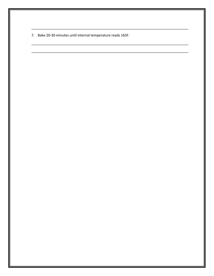7. Bake 20-30 minutes until internal temperature reads 165F.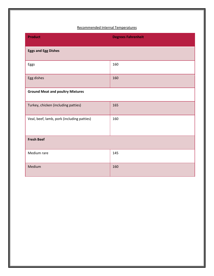# Recommended Internal Temperatures

| <b>Product</b>                             | <b>Degrees Fahrenheit</b> |  |  |
|--------------------------------------------|---------------------------|--|--|
| <b>Eggs and Egg Dishes</b>                 |                           |  |  |
| Eggs                                       | 160                       |  |  |
| Egg dishes                                 | 160                       |  |  |
| <b>Ground Meat and poultry Mixtures</b>    |                           |  |  |
| Turkey, chicken (including patties)        | 165                       |  |  |
| Veal, beef, lamb, pork (including patties) | 160                       |  |  |
| <b>Fresh Beef</b>                          |                           |  |  |
| Medium rare                                | 145                       |  |  |
| Medium                                     | 160                       |  |  |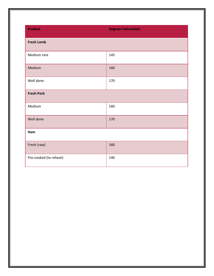| <b>Product</b>         | <b>Degrees Fahrenheit</b> |
|------------------------|---------------------------|
| <b>Fresh Lamb</b>      |                           |
| Medium rare            | 145                       |
| Medium                 | 160                       |
| Well done              | 170                       |
| <b>Fresh Pork</b>      |                           |
| Medium                 | 160                       |
| Well done              | 170                       |
| Ham                    |                           |
| Fresh (raw)            | 160                       |
| Pre-cooked (to reheat) | 140                       |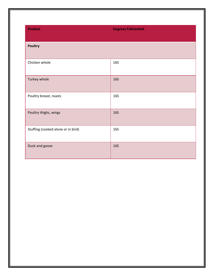| <b>Product</b>                     | <b>Degrees Fahrenheit</b> |
|------------------------------------|---------------------------|
| <b>Poultry</b>                     |                           |
| Chicken whole                      | 165                       |
| Turkey whole                       | 165                       |
| Poultry breast, roasts             | 165                       |
| Poultry thighs, wings              | 165                       |
| Stuffing (cooked alone or in bird) | 165                       |
| Duck and goose                     | 165                       |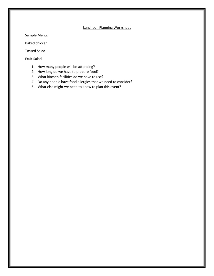## Luncheon Planning Worksheet

Sample Menu:

Baked chicken

Tossed Salad

Fruit Salad

- 1. How many people will be attending?
- 2. How long do we have to prepare food?
- 3. What kitchen facilities do we have to use?
- 4. Do any people have food allergies that we need to consider?
- 5. What else might we need to know to plan this event?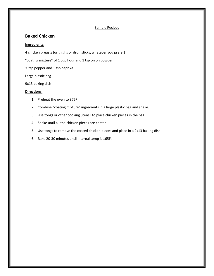#### Sample Recipes

# **Baked Chicken**

## **Ingredients:**

4 chicken breasts (or thighs or drumsticks, whatever you prefer)

"coating mixture" of 1 cup flour and 1 tsp onion powder

¼ tsp pepper and 1 tsp paprika

Large plastic bag

9x13 baking dish

#### **Directions:**

- 1. Preheat the oven to 375F
- 2. Combine "coating mixture" ingredients in a large plastic bag and shake.
- 3. Use tongs or other cooking utensil to place chicken pieces in the bag.
- 4. Shake until all the chicken pieces are coated.
- 5. Use tongs to remove the coated chicken pieces and place in a 9x13 baking dish.
- 6. Bake 20-30 minutes until internal temp is 165F.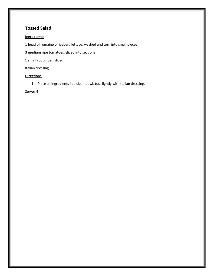# **Tossed Salad**

## **Ingredients:**

1 head of romaine or iceberg lettuce, washed and torn into small pieces

3 medium ripe tomatoes, sliced into sections

1 small cucumber, sliced

Italian dressing

## **Directions:**

1. Place all ingredients in a clean bowl, toss lightly with Italian dressing.

Serves 4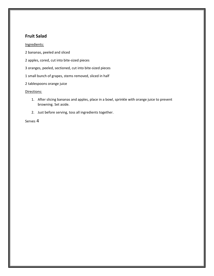# **Fruit Salad**

## Ingredients:

- 2 bananas, peeled and sliced
- 2 apples, cored, cut into bite-sized pieces
- 3 oranges, peeled, sectioned, cut into bite-sized pieces
- 1 small bunch of grapes, stems removed, sliced in half
- 2 tablespoons orange juice

## Directions:

- 1. After slicing bananas and apples, place in a bowl, sprinkle with orange juice to prevent browning. Set aside.
- 2. Just before serving, toss all ingredients together.

Serves 4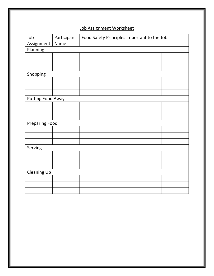# Job Assignment Worksheet

| Job                      | Participant           | Food Safety Principles Important to the Job |  |  |  |
|--------------------------|-----------------------|---------------------------------------------|--|--|--|
| Assignment               | Name                  |                                             |  |  |  |
| Planning                 |                       |                                             |  |  |  |
|                          |                       |                                             |  |  |  |
|                          |                       |                                             |  |  |  |
|                          |                       |                                             |  |  |  |
| Shopping                 |                       |                                             |  |  |  |
|                          |                       |                                             |  |  |  |
|                          |                       |                                             |  |  |  |
|                          |                       |                                             |  |  |  |
| <b>Putting Food Away</b> |                       |                                             |  |  |  |
|                          |                       |                                             |  |  |  |
|                          |                       |                                             |  |  |  |
|                          |                       |                                             |  |  |  |
|                          | <b>Preparing Food</b> |                                             |  |  |  |
|                          |                       |                                             |  |  |  |
|                          |                       |                                             |  |  |  |
|                          |                       |                                             |  |  |  |
| Serving                  |                       |                                             |  |  |  |
|                          |                       |                                             |  |  |  |
|                          |                       |                                             |  |  |  |
|                          |                       |                                             |  |  |  |
| <b>Cleaning Up</b>       |                       |                                             |  |  |  |
|                          |                       |                                             |  |  |  |
|                          |                       |                                             |  |  |  |
|                          |                       |                                             |  |  |  |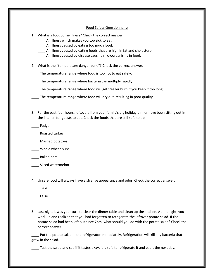## Food Safety Questionnaire

- 1. What is a foodborne illness? Check the correct answer.
	- \_\_\_\_ An illness which makes you too sick to eat.
	- \_\_\_\_ An illness caused by eating too much food.
	- \_\_\_\_ An illness caused by eating foods that are high in fat and cholesterol.
	- \_\_\_\_ An illness caused by disease causing microorganisms in food.
- 2. What is the "temperature danger zone"? Check the correct answer.
- \_\_\_\_ The temperature range where food is too hot to eat safely.
- \_\_\_\_ The temperature range where bacteria can multiply rapidly.
- \_\_\_\_ The temperature range where food will get freezer burn if you keep it too long.
- \_\_\_\_ The temperature range where food will dry out, resulting in poor quality.
- 3. For the past four hours, leftovers from your family's big holiday dinner have been sitting out in the kitchen for guests to eat. Check the foods that are still safe to eat.
- \_\_\_\_ Fudge
- \_\_\_\_ Roasted turkey
- \_\_\_\_ Mashed potatoes
- \_\_\_\_ Whole wheat buns
- \_\_\_\_ Baked ham
- \_\_\_\_ Sliced watermelon
- 4. Unsafe food will always have a strange appearance and odor. Check the correct answer.
- \_\_\_\_ True
- \_\_\_\_ False
- 5. Last night it was your turn to clear the dinner table and clean up the kitchen. At midnight, you work up and realized that you had forgotten to refrigerate the leftover potato salad. If the potato salad had been left out since 7pm, what should you do with the potato salad? Check the correct answer.

\_\_\_\_ Put the potato salad in the refrigerator immediately. Refrigeration will kill any bacteria that grew in the salad.

Tast the salad and see if it tastes okay, it is safe to refrigerate it and eat it the next day.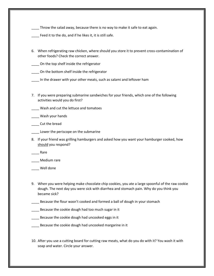- \_\_\_\_ Throw the salad away, because there is no way to make it safe to eat again.
- Feed it to the do, and if he likes it, it is still safe.
- 6. When refrigerating raw chicken, where should you store it to prevent cross-contamination of other foods? Check the correct answer.
- \_\_\_\_ On the top shelf inside the refrigerator
- \_\_\_\_ On the bottom shelf inside the refrigerator
- \_\_\_\_ In the drawer with your other meats, such as salami and leftover ham
- 7. If you were preparing submarine sandwiches for your friends, which one of the following activities would you do first?
- \_\_\_\_ Wash and cut the lettuce and tomatoes
- \_\_\_\_ Wash your hands
- \_\_\_\_ Cut the bread
- \_\_\_\_ Lower the periscope on the submarine
- 8. If your friend was grilling hamburgers and asked how you want your hamburger cooked, how should you respond?
- \_\_\_\_ Rare
- \_\_\_\_ Medium rare
- \_\_\_\_ Well done
- 9. When you were helping make chocolate chip cookies, you ate a large spoonful of the raw cookie dough. The next day you were sick with diarrhea and stomach pain. Why do you think you became sick?
- Because the flour wasn't cooked and formed a ball of dough in your stomach
- Because the cookie dough had too much sugar in it
- Because the cookie dough had uncooked eggs in it
- Because the cookie dough had uncooked margarine in it
- 10. After you use a cutting board for cutting raw meats, what do you do with it? You wash it with soap and water. Circle your answer.